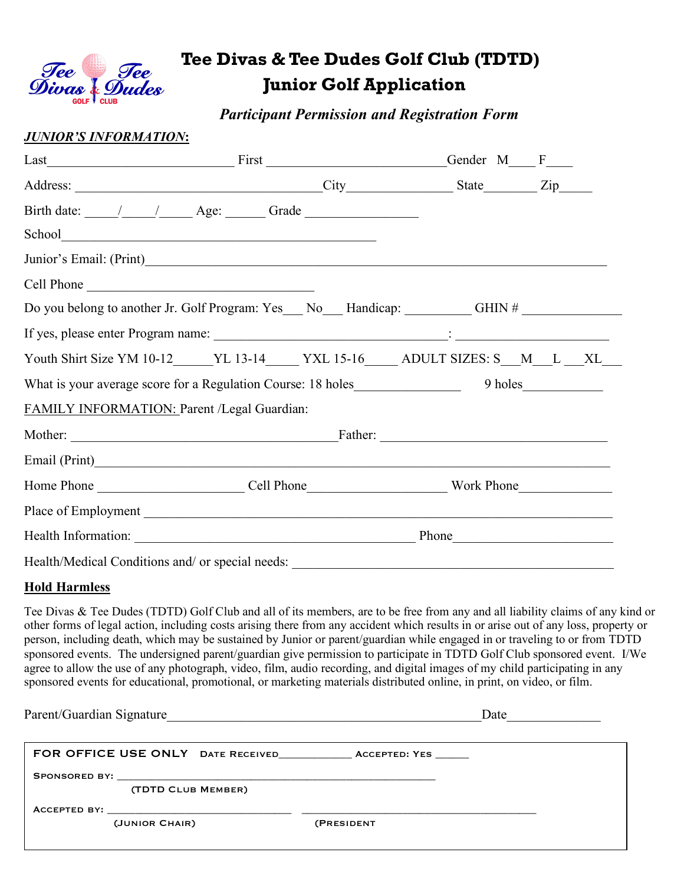

# *Tee* **Tee Divas & Tee Dudes Golf Club (TDTD)**<br>Divas & Dudes Junior Golf Application  **Junior Golf Application**

 *Participant Permission and Registration Form*

### *JUNIOR'S INFORMATION***:**

|                                                                                     | $Last$ First First $\frac{1}{1}$ |  | Gender M F |  |  |
|-------------------------------------------------------------------------------------|----------------------------------|--|------------|--|--|
|                                                                                     |                                  |  |            |  |  |
|                                                                                     |                                  |  |            |  |  |
|                                                                                     |                                  |  |            |  |  |
|                                                                                     |                                  |  |            |  |  |
| Cell Phone                                                                          |                                  |  |            |  |  |
| Do you belong to another Jr. Golf Program: Yes__ No__ Handicap: GHIN # __________   |                                  |  |            |  |  |
|                                                                                     |                                  |  |            |  |  |
| Youth Shirt Size YM 10-12_____YL 13-14_____YXL 15-16_____ADULT SIZES: S__M__L __XL_ |                                  |  |            |  |  |
|                                                                                     |                                  |  |            |  |  |
| FAMILY INFORMATION: Parent /Legal Guardian:                                         |                                  |  |            |  |  |
|                                                                                     |                                  |  |            |  |  |
|                                                                                     |                                  |  |            |  |  |
|                                                                                     |                                  |  |            |  |  |
|                                                                                     |                                  |  |            |  |  |
|                                                                                     |                                  |  |            |  |  |
| Health/Medical Conditions and/ or special needs: ________________________________   |                                  |  |            |  |  |

#### **Hold Harmless**

Tee Divas & Tee Dudes (TDTD) Golf Club and all of its members, are to be free from any and all liability claims of any kind or other forms of legal action, including costs arising there from any accident which results in or arise out of any loss, property or person, including death, which may be sustained by Junior or parent/guardian while engaged in or traveling to or from TDTD sponsored events. The undersigned parent/guardian give permission to participate in TDTD Golf Club sponsored event. I/We agree to allow the use of any photograph, video, film, audio recording, and digital images of my child participating in any sponsored events for educational, promotional, or marketing materials distributed online, in print, on video, or film.

| Parent/Guardian Signature | Date       |
|---------------------------|------------|
|                           |            |
| (TDTD CLUB MEMBER)        |            |
| (JUNIOR CHAIR)            | (PRESIDENT |
|                           |            |